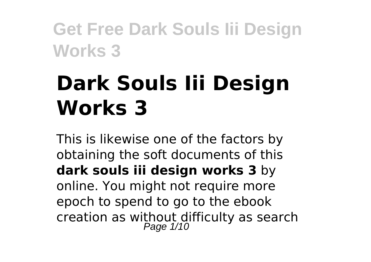# **Dark Souls Iii Design Works 3**

This is likewise one of the factors by obtaining the soft documents of this **dark souls iii design works 3** by online. You might not require more epoch to spend to go to the ebook creation as without difficulty as search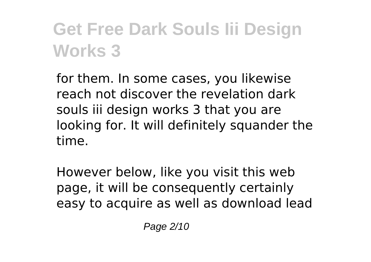for them. In some cases, you likewise reach not discover the revelation dark souls iii design works 3 that you are looking for. It will definitely squander the time.

However below, like you visit this web page, it will be consequently certainly easy to acquire as well as download lead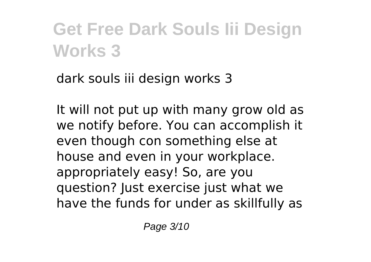dark souls iii design works 3

It will not put up with many grow old as we notify before. You can accomplish it even though con something else at house and even in your workplace. appropriately easy! So, are you question? Just exercise just what we have the funds for under as skillfully as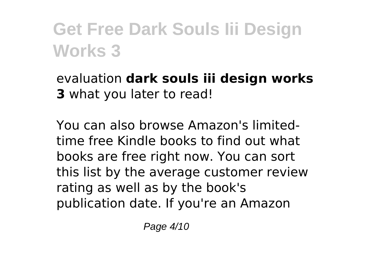evaluation **dark souls iii design works 3** what you later to read!

You can also browse Amazon's limitedtime free Kindle books to find out what books are free right now. You can sort this list by the average customer review rating as well as by the book's publication date. If you're an Amazon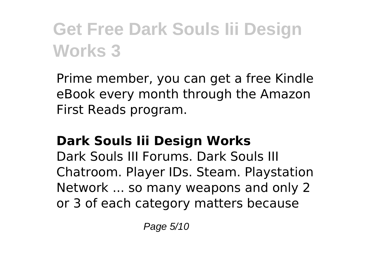Prime member, you can get a free Kindle eBook every month through the Amazon First Reads program.

#### **Dark Souls Iii Design Works**

Dark Souls III Forums. Dark Souls III Chatroom. Player IDs. Steam. Playstation Network ... so many weapons and only 2 or 3 of each category matters because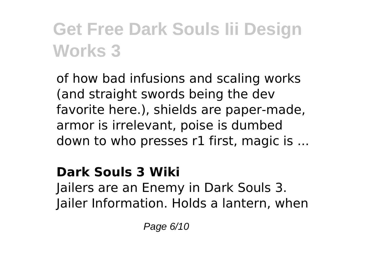of how bad infusions and scaling works (and straight swords being the dev favorite here.), shields are paper-made, armor is irrelevant, poise is dumbed down to who presses r1 first, magic is ...

#### **Dark Souls 3 Wiki**

Jailers are an Enemy in Dark Souls 3. Jailer Information. Holds a lantern, when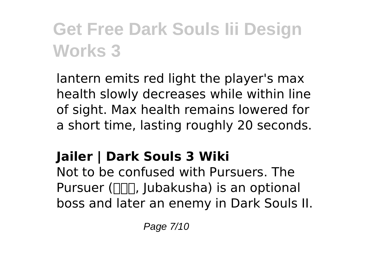lantern emits red light the player's max health slowly decreases while within line of sight. Max health remains lowered for a short time, lasting roughly 20 seconds.

### **Jailer | Dark Souls 3 Wiki**

Not to be confused with Pursuers. The Pursuer ( $\Box$ , Jubakusha) is an optional boss and later an enemy in Dark Souls II.

Page 7/10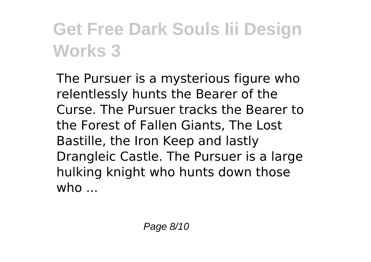The Pursuer is a mysterious figure who relentlessly hunts the Bearer of the Curse. The Pursuer tracks the Bearer to the Forest of Fallen Giants, The Lost Bastille, the Iron Keep and lastly Drangleic Castle. The Pursuer is a large hulking knight who hunts down those  $who$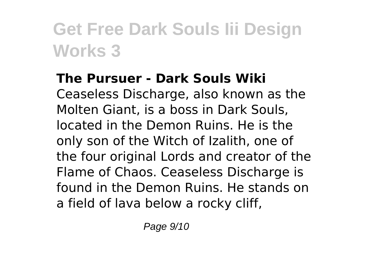#### **The Pursuer - Dark Souls Wiki**

Ceaseless Discharge, also known as the Molten Giant, is a boss in Dark Souls, located in the Demon Ruins. He is the only son of the Witch of Izalith, one of the four original Lords and creator of the Flame of Chaos. Ceaseless Discharge is found in the Demon Ruins. He stands on a field of lava below a rocky cliff,